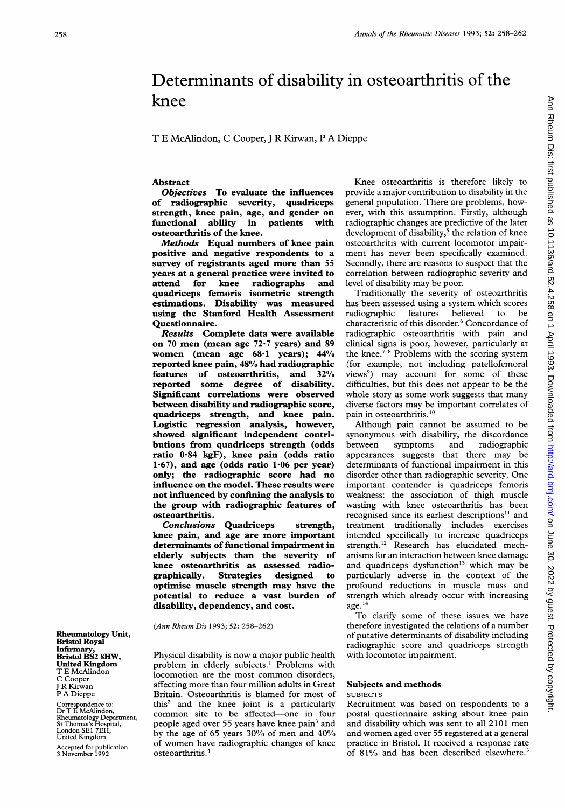# Determinants of disability in osteoarthritis of the knee

T E McAlindon, C Cooper, <sup>J</sup> R Kirwan, P A Dieppe

# Abstract

Objectives To evaluate the influences of radiographic severity, quadriceps strength, knee pain, age, and gender on functional ability in patients with osteoarthritis of the knee.

Methods Equal numbers of knee pain positive and negative respondents to a survey of registrants aged more than 55 years at a general practice were invited to<br>attend for knee radiographs and radiographs and quadriceps femoris isometric strength estimations. Disability was measured using the Stanford Health Assessment Questionnaire.

Results Complete data were available on <sup>70</sup> men (mean age 72-7 years) and <sup>89</sup> women (mean age  $68.1$  years);  $44\%$ reported knee pain, 48% had radiographic features of osteoarthritis, and 32% reported some degree of disability. Significant correlations were observed between disability and radiographic score, quadriceps strength, and knee pain. Logistic regression analysis, however, showed significant independent contributions from quadriceps strength (odds ratio 0-84 kgF), knee pain (odds ratio 1.67), and age (odds ratio  $1.06$  per year) only; the radiographic score had no influence on the model. These results were not influenced by confining the analysis to the group with radiographic features of osteoarthritis.

Conclusions Quadriceps strength, knee pain, and age are more important determinants of functional impairment in elderly subjects than the severity of knee osteoarthritis as assessed radiographically. Strategies designed to optimise muscle strength may have the potential to reduce a vast burden of disability, dependency, and cost.

(Ann Rheum Dis 1993; 52: 258-262)

Physical disability is now <sup>a</sup> major public health problem in elderly subjects.<sup>1</sup> Problems with locomotion are the most common disorders, affecting more than four million adults in Great Britain. Osteoarthritis is blamed for most of this2 and the knee joint is a particularly common site to be affected-one in four people aged over 55 years have knee pain<sup>3</sup> and by the age of 65 years 30% of men and 40% of women have radiographic changes of knee osteoarthritis.4

Knee osteoarthritis is therefore likely to provide a major contribution to disability in the general population. There are problems, however, with this assumption. Firstly, although radiographic changes are predictive of the later development of disability,<sup>5</sup> the relation of knee osteoarthritis with current locomotor impairment has never been specifically examined. Secondly, there are reasons to suspect that the correlation between radiographic severity and level of disability may be poor.

Traditionally the severity of osteoarthritis has been assessed using a system which scores radiographic features believed to be characteristic of this disorder.<sup>6</sup> Concordance of radiographic osteoarthritis with pain and clinical signs is poor, however, particularly at the knee.<sup>78</sup> Problems with the scoring system (for example, not including patellofemoral views<sup>9</sup>) may account for some of these difficulties, but this does not appear to be the whole story as some work suggests that many diverse factors may be important correlates of pain in osteoarthritis.<sup>10</sup>

Although pain cannot be assumed to be synonymous with disability, the discordance between symptoms and radiographic appearances suggests that there may be determinants of functional impairment in this disorder other than radiographic severity. One important contender is quadriceps femoris weakness: the association of thigh muscle wasting with knee osteoarthritis has been recognised since its earliest descriptions<sup>11</sup> and treatment traditionally includes exercises intended specifically to increase quadriceps strength.<sup>12</sup> Research has elucidated mechanisms for an interaction between knee damage and quadriceps dysfunction'3 which may be particularly adverse in the context of the profound reductions in muscle mass and strength which already occur with increasing  $age.<sup>14</sup>$ 

To clarify some of these issues we have therefore investigated the relations of a number of putative determinants of disability including radiographic score and quadriceps strength with locomotor impairment.

## Subjects and methods **SUBJECTS**

Recruitment was based on respondents to a postal questionnaire asking about knee pain and disability which was sent to all 2101 men and women aged over 55 registered at <sup>a</sup> general practice in Bristol. It received a response rate of 81% and has been described elsewhere.<sup>3</sup>

Rheumatology Unit, Bristol Royal **Infirmary** Bristol BS2 8HW. United Kingdom T E McAlindon Cooper <sup>J</sup> R Kirwan P A Dieppe

Correspondence to: Dr T E McAlindon, Rheumatology Department, St Thomas's Hospital, London SEl 7EH, United Kingdom.

Accepted for publication 3 November 1992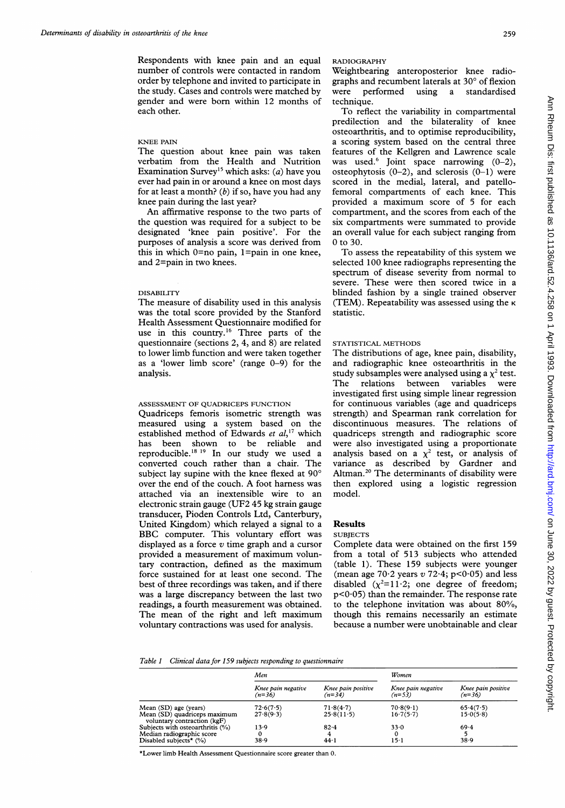Respondents with knee pain and an equal number of controls were contacted in random order by telephone and invited to participate in the study. Cases and controls were matched by gender and were born within 12 months of each other.

## KNEE PAIN

The question about knee pain was taken verbatim from the Health and Nutrition Examination Survey<sup>15</sup> which asks: (*a*) have you ever had pain in or around a knee on most days for at least a month? (b) if so, have you had any knee pain during the last year?

An affirmative response to the two parts of the question was required for a subject to be designated 'knee pain positive'. For the purposes of analysis a score was derived from this in which  $0=$ no pain,  $1=$ pain in one knee, and 2=pain in two knees.

## DISABILITY

The measure of disability used in this analysis was the total score provided by the Stanford Health Assessment Questionnaire modified for use in this country.<sup>16</sup> Three parts of the questionnaire (sections 2, 4, and 8) are related to lower limb function and were taken together as a 'lower limb score' (range  $0-9$ ) for the analysis.

# ASSESSMENT OF QUADRICEPS FUNCTION

Quadriceps femoris isometric strength was measured using a system based on the established method of Edwards et  $al$ ,<sup>17</sup> which has been shown to be reliable and reproducible.'8 '9 In our study we used <sup>a</sup> converted couch rather than a chair. The subject lay supine with the knee flexed at  $90^{\circ}$ over the end of the couch. A foot harness was attached via an inextensible wire to an electronic strain gauge (UF2 45 kg strain gauge transducer, Pioden Controls Ltd, Canterbury, United Kingdom) which relayed a signal to a BBC computer. This voluntary effort was displayed as a force  $v$  time graph and a cursor provided <sup>a</sup> measurement of maximum voluntary contraction, defined as the maximum force sustained for at least one second. The best of three recordings was taken, and if there was a large discrepancy between the last two readings, a fourth measurement was obtained. The mean of the right and left maximum voluntary contractions was used for analysis.

#### RADIOGRAPHY

Weightbearing anteroposterior knee radiographs and recumbent laterals at 30° of flexion were performed using a standardised technique.

To reflect the variability in compartmental predilection and the bilaterality of knee osteoarthritis, and to optimise reproducibility, a scoring system based on the central three features of the Kellgren and Lawrence scale was used.<sup>6</sup> Joint space narrowing  $(0-2)$ , osteophytosis  $(0-2)$ , and sclerosis  $(0-1)$  were scored in the medial, lateral, and patellofemoral compartments of each knee. This provided <sup>a</sup> maximum score of <sup>5</sup> for each compartment, and the scores from each of the six compartments were summated to provide an overall value for each subject ranging from 0 to 30.

To assess the repeatability of this system we selected 100 knee radiographs representing the spectrum of disease severity from normal to severe. These were then scored twice in a blinded fashion by a single trained observer (TEM). Repeatability was assessed using the  $\kappa$ statistic.

## STATISTICAL METHODS

The distributions of age, knee pain, disability, and radiographic knee osteoarthritis in the study subsamples were analysed using a  $\chi^2$  test. The relations between variables were investigated first using simple linear regression for continuous variables (age and quadriceps strength) and Spearman rank correlation for discontinuous measures. The relations of quadriceps strength and radiographic score were also investigated using a proportionate analysis based on a  $\chi^2$  test, or analysis of variance as described by Gardner and Altman.20 The determinants of disability were then explored using a logistic regression model.

# Results

#### **SUBJECTS**

Complete data were obtained on the first 159 from <sup>a</sup> total of 513 subjects who attended (table 1). These 159 subjects were younger (mean age  $70.2$  years v  $72.4$ ; p<0.05) and less disabled  $(\chi^2=11.2)$ ; one degree of freedom;  $p<0.05$ ) than the remainder. The response rate to the telephone invitation was about 80%, though this remains necessarily an estimate because a number were unobtainable and clear

## Table <sup>1</sup> Clinical data for 159 subjects responding to questionnaire

|                                                             | Men                            |                                | Women                          |                                |
|-------------------------------------------------------------|--------------------------------|--------------------------------|--------------------------------|--------------------------------|
|                                                             | Knee pain negative<br>$(n=36)$ | Knee pain positive<br>$(n=34)$ | Knee pain negative<br>$(n=53)$ | Knee pain positive<br>$(n=36)$ |
| Mean (SD) age (years)                                       | 72.6(7.5)                      | 71.8(4.7)                      | 70.8(9.1)                      | 65.4(7.5)                      |
| Mean (SD) quadriceps maximum<br>voluntary contraction (kgF) | 27.8(9.3)                      | 25.8(11.5)                     | 16.7(5.7)                      | 15.0(5.8)                      |
| Subjects with osteoarthritis (%)                            | 13.9                           | $82 - 4$                       | 33.0                           | 69.4                           |
| Median radiographic score                                   | 0                              |                                |                                |                                |
| Disabled subjects* (%)                                      | 38.9                           | 44.1                           | $15 - 1$                       | 38.9                           |

\*Lower limb Health Assessment Questionnaire score greater than 0.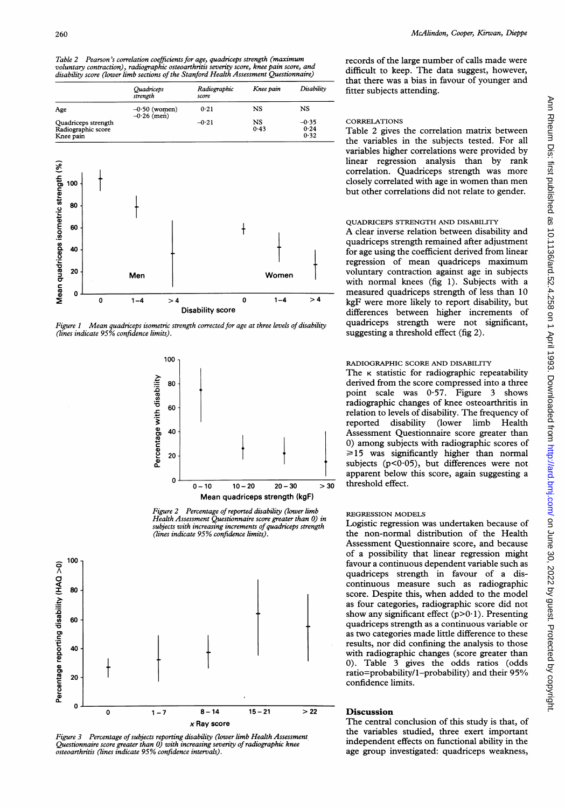Table 2 Pearson's correlation coefficients for age, quadriceps strength (maximum voluntary contraction), radiographic osteoarthritis severity score, knee pain score, and disability score (lower limb sections of the Stanford Health Assessment Questionnaire)



Figure 1 Mean quadriceps isometric strength corrected for age at three levels of disability (lines indicate 95% confidence limits).



Figure 2 Percentage of reported disability (lower limb Health Assessment Questionnaire score greater than 0) in subjects with increasing increments of quadriceps strength (lines indicate 95% confidence limits).



Figure 3 Percentage of subjects reporting disability (lower limb Health Assessment Questionnaire score greater than 0) with increasing severity of radiographic knee osteoarthritis (lines indicate 95% confidence intervals).

records of the large number of calls made were difficult to keep. The data suggest, however, that there was a bias in favour of younger and fitter subjects attending.

## **CORRELATIONS**

Table 2 gives the correlation matrix between the variables in the subjects tested. For all variables higher correlations were provided by linear regression analysis than by rank correlation. Quadriceps strength was more closely correlated with age in women than men but other correlations did not relate to gender.

# QUADRICEPS STRENGTH AND DISABILITY

T<br>
A clear inverse relation between disability and quadriceps strength remained after adjustment for age using the coefficient derived from linear nen regression of mean quadriceps maximum Women voluntary contraction against age in subjects with normal knees (fig 1). Subjects with a measured quadriceps strength of less than 10  $1-4$  > 4 kgF were more likely to report disability, but differences between higher increments of quadriceps strength were not significant, suggesting a threshold effect (fig 2).

## RADIOGRAPHIC SCORE AND DISABILITY

The  $\kappa$  statistic for radiographic repeatability derived from the score compressed into a three point scale was 0.57. Figure 3 shows radiographic changes of knee osteoarthritis in relation to levels of disability. The frequency of reported disability (lower limb Health Assessment Questionnaire score greater than 0) among subjects with radiographic scores of  $\geq 15$  was significantly higher than normal subjects ( $p < 0.05$ ), but differences were not apparent below this score, again suggesting a threshold effect.

## REGRESSION MODELS

Logistic regression was undertaken because of the non-normal distribution of the Health Assessment Questionnaire score, and because of a possibility that linear regression might favour a continuous dependent variable such as quadriceps strength in favour of a discontinuous measure such as radiographic score. Despite this, when added to the model as four categories, radiographic score did not show any significant effect  $(p>0.1)$ . Presenting quadriceps strength as a continuous variable or as two categories made little difference to these results, nor did confining the analysis to those with radiographic changes (score greater than 0). Table 3 gives the odds ratios (odds ratio=probability/1-probability) and their  $95\%$ confidence limits.

## Discussion

The central conclusion of this study is that, of the variables studied, three exert important independent effects on fumctional ability in the age group investigated: quadriceps weakness,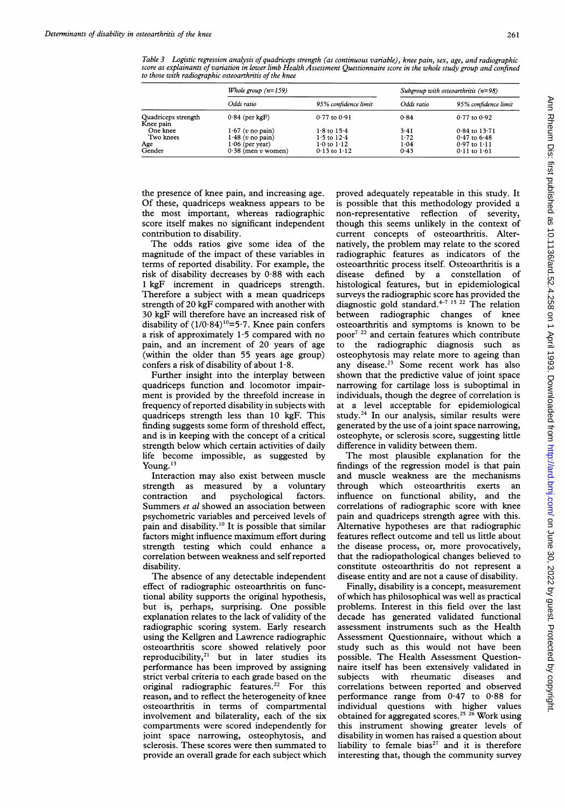Table 3 Logistic regression analysis of quadriceps strength (as continuous variable), knee pain, sex, age, and radiographic score as explainants of variation in lower limb Health Assessment Questionnaire score in the whole study group and confined to those with radiographic osteoarthritis of the knee

|                                  | Whole group $(n=159)$ |                        | Subgroup with osteoarthritis $(n=98)$ |                      |
|----------------------------------|-----------------------|------------------------|---------------------------------------|----------------------|
|                                  | Odds ratio            | 95% confidence limit   | Odds ratio                            | 95% confidence limit |
| Quadriceps strength<br>Knee pain | $0.84$ (per kgF)      | $0.77$ to $0.91$       | 0.84                                  | $0.77$ to $0.92$     |
| One knee                         | $1.67$ (v no pain)    | $1.8$ to $15.4$        | 3.41                                  | $0.84$ to $13.71$    |
| Two knees                        | $1.48$ (v no pain)    | $1.5$ to $12.4$        | 1.72                                  | 0.47 to 6.48         |
| Age                              | $1.06$ (per year)     | $1.0 \text{ to } 1.12$ | 1.04                                  | $0.97$ to $1.11$     |
| Gender                           | $0.38$ (men v women)  | $0.13$ to $1.12$       | 0.43                                  | $0.11$ to $1.61$     |

the presence of knee pain, and increasing age. Of these, quadriceps weakness appears to be the most important, whereas radiographic score itself makes no significant independent contribution to disability.

The odds ratios give some idea of the magnitude of the impact of these variables in terms of reported disability. For example, the risk of disability decreases by 0-88 with each <sup>1</sup> kgF increment in quadriceps strength. Therefore a subject with a mean quadriceps strength of 20 kgF compared with another with 30 kgF will therefore have an increased risk of disability of  $(1/0.84)^{10}$ =5.7. Knee pain confers a risk of approximately 1-5 compared with no pain, and an increment of 20 years of age (within the older than 55 years age group) confers a risk of disability of about  $1.8$ .

Further insight into the interplay between quadriceps function and locomotor impairment is provided by the threefold increase in frequency of reported disability in subjects with quadriceps strength less than 10 kgF. This finding suggests some form of threshold effect, and is in keeping with the concept of a critical strength below which certain activities of daily life become impossible, as suggested by Young. $13$ 

Interaction may also exist between muscle strength as measured by a voluntary contraction and psychological factors. Summers et al showed an association between psychometric variables and perceived levels of pain and disability.10 It is possible that similar factors might influence maximum effort during strength testing which could enhance a correlation between weakness and self reported disability.

The absence of any detectable independent effect of radiographic osteoarthritis on functional ability supports the original hypothesis, but is, perhaps, surprising. One possible explanation relates to the lack of validity of the radiographic scoring system. Early research using the Kellgren and Lawrence radiographic osteoarthritis score showed relatively poor reproducibility,<sup>21</sup> but in later studies its performance has been improved by assigning strict verbal criteria to each grade based on the original radiographic features.<sup>22</sup> For this reason, and to reflect the heterogeneity of knee osteoarthritis in terms of compartmental involvement and bilaterality, each of the six compartments were scored independently for joint space narrowing, osteophytosis, and sclerosis. These scores were then summated to provide an overall grade for each subject which

proved adequately repeatable in this study. It is possible that this methodology provided a non-representative reflection of severity, though this seems unlikely in the context of current concepts of osteoarthritis. Alternatively, the problem may relate to the scored radiographic features as indicators of the osteoarthritic process itself. Osteoarthritis is a disease defined by a constellation of disease defined by a constellation histological features, but in epidemiological surveys the radiographic score has provided the diagnostic gold standard.<sup>4-7 15</sup> <sup>22</sup> The relation between radiographic changes of knee osteoarthritis and symptoms is known to be poor<sup>7 22</sup> and certain features which contribute<br>to the radiographic diagnosis such as to the radiographic diagnosis such osteophytosis may relate more to ageing than any disease.23 Some recent work has also shown that the predictive value of joint space narrowing for cartilage loss is suboptimal in individuals, though the degree of correlation is at a level acceptable for epidemiological study.24 In our analysis, similar results were generated by the use of a joint space narrowing, osteophyte, or sclerosis score, suggesting little difference in validity between them.

The most plausible explanation for the findings of the regression model is that pain and muscle weakness are the mechanisms through which osteoarthritis exerts an influence on functional ability, and the correlations of radiographic score with knee pain and quadriceps strength agree with this. Alternative hypotheses are that radiographic features reflect outcome and tell us little about the disease process, or, more provocatively, that the radiopathological changes believed to constitute osteoarthritis do not represent a disease entity and are not a cause of disability.

Finally, disability is a concept, measurement of which has philosophical was well as practical problems. Interest in this field over the last decade has generated validated functional assessment instruments such as the Health Assessment Questionnaire, without which a study such as this would not have been possible. The Health Assessment Questionnaire itself has been extensively validated in subjects with rheumatic diseases and correlations between reported and observed performance range from 0 47 to 0-88 for individual questions with higher values obtained for aggregated scores.<sup>25</sup> <sup>26</sup> Work using this instrument showing greater levels of disability in women has raised <sup>a</sup> question about liability to female bias<sup>27</sup> and it is therefore interesting that, though the community survey